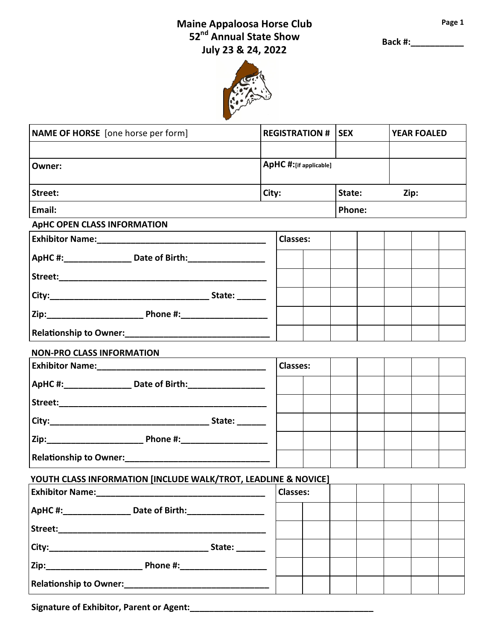## **Maine Appaloosa Horse Club Page 1 52nd Annual State Show July 23 & 24, 2022**

**Back #:\_\_\_\_\_\_\_\_\_\_\_**



| NAME OF HORSE [one horse per form]                             |       | <b>REGISTRATION #   SEX</b> |               |  | <b>YEAR FOALED</b> |  |  |
|----------------------------------------------------------------|-------|-----------------------------|---------------|--|--------------------|--|--|
|                                                                |       |                             |               |  |                    |  |  |
| Owner:                                                         |       | ApHC #:[if applicable]      |               |  |                    |  |  |
| Street:                                                        | City: |                             | State:        |  | Zip:               |  |  |
| Email:                                                         |       |                             | <b>Phone:</b> |  |                    |  |  |
| <b>ApHC OPEN CLASS INFORMATION</b>                             |       |                             |               |  |                    |  |  |
|                                                                |       | <b>Classes:</b>             |               |  |                    |  |  |
| ApHC #: ________________ Date of Birth: ___________________    |       |                             |               |  |                    |  |  |
|                                                                |       |                             |               |  |                    |  |  |
|                                                                |       |                             |               |  |                    |  |  |
|                                                                |       |                             |               |  |                    |  |  |
| Relationship to Owner:<br><u> </u>                             |       |                             |               |  |                    |  |  |
| <b>NON-PRO CLASS INFORMATION</b>                               |       |                             |               |  |                    |  |  |
|                                                                |       | <b>Classes:</b>             |               |  |                    |  |  |
| ApHC #: _______________ Date of Birth: __________________      |       |                             |               |  |                    |  |  |
|                                                                |       |                             |               |  |                    |  |  |
|                                                                |       |                             |               |  |                    |  |  |
|                                                                |       |                             |               |  |                    |  |  |
|                                                                |       |                             |               |  |                    |  |  |
| YOUTH CLASS INFORMATION [INCLUDE WALK/TROT, LEADLINE & NOVICE] |       |                             |               |  |                    |  |  |
|                                                                |       | <b>Classes:</b>             |               |  |                    |  |  |
| ApHC #: _________________ Date of Birth: ___________________   |       |                             |               |  |                    |  |  |
|                                                                |       |                             |               |  |                    |  |  |
| City: City:                                                    |       |                             |               |  |                    |  |  |
|                                                                |       |                             |               |  |                    |  |  |
| Relationship to Owner:<br><u> </u>                             |       |                             |               |  |                    |  |  |

Signature of Exhibitor, Parent or Agent: